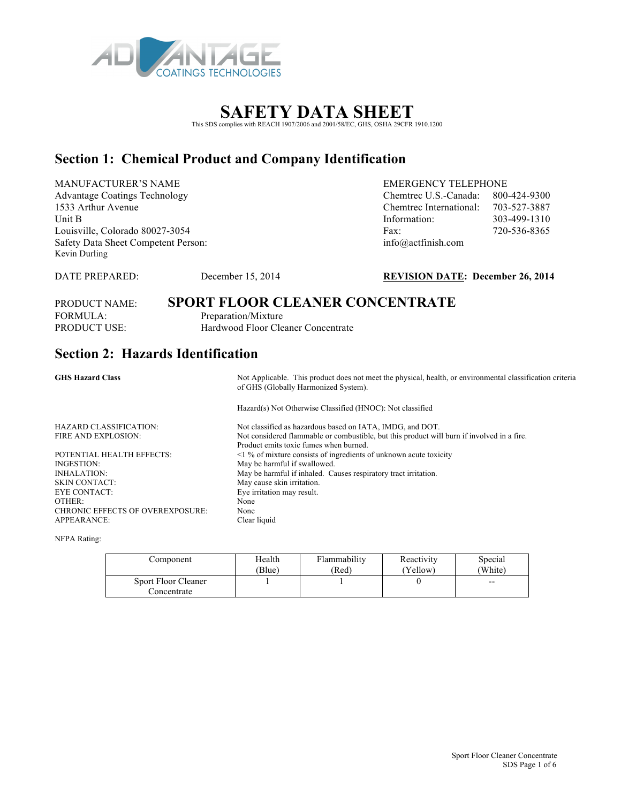

# This SDS complies with REACH 1907/2006 and 2001/58/EC, GHS, OSHA 29CFR 1910.1200

### **Section 1: Chemical Product and Company Identification**

MANUFACTURER'S NAME EMERGENCY TELEPHONE Advantage Coatings Technology Chemtrec U.S.-Canada: 800-424-9300 1533 Arthur Avenue Chemtrec International: 703-527-3887 Unit B 1003-499-1310 Louisville, Colorado 80027-3054 Fax: 720-536-8365 Safety Data Sheet Competent Person: info@actfinish.com Kevin Durling

#### DATE PREPARED: December 15, 2014 **REVISION DATE: December 26, 2014**

# PRODUCT NAME: **SPORT FLOOR CLEANER CONCENTRATE**

FORMULA: Preparation/Mixture PRODUCT USE: Hardwood Floor Cleaner Concentrate

### **Section 2: Hazards Identification**

GHS Hazard Class **Note Applicable.** This product does not meet the physical, health, or environmental classification criteria of GHS (Globally Harmonized System).

Hazard(s) Not Otherwise Classified (HNOC): Not classified

HAZARD CLASSIFICATION: Not classified as hazardous based on IATA, IMDG, and DOT. FIRE AND EXPLOSION: Not considered flammable or combustible, but this product will burn if involved in a fire. POTENTIAL HEALTH EFFECTS: <1 % of mixture consists of ingredients of unknown acute toxicity INGESTION: May be harmful if swallowed. INHALATION: May be harmful if inhaled. Causes respiratory tract irritation. SKIN CONTACT: May cause skin irritation. EYE CONTACT: Eye irritation may result. OTHER: None

CHRONIC EFFECTS OF OVEREXPOSURE: None<br>APPEARANCE: Clear liquid APPEARANCE: NFPA Rating:

| Component                          | Health | Flammability | Reactivity | Special |
|------------------------------------|--------|--------------|------------|---------|
|                                    | Blue)  | (Red)        | (Yellow)   | 'White) |
| Sport Floor Cleaner<br>Concentrate |        |              |            | $- -$   |

Product emits toxic fumes when burned.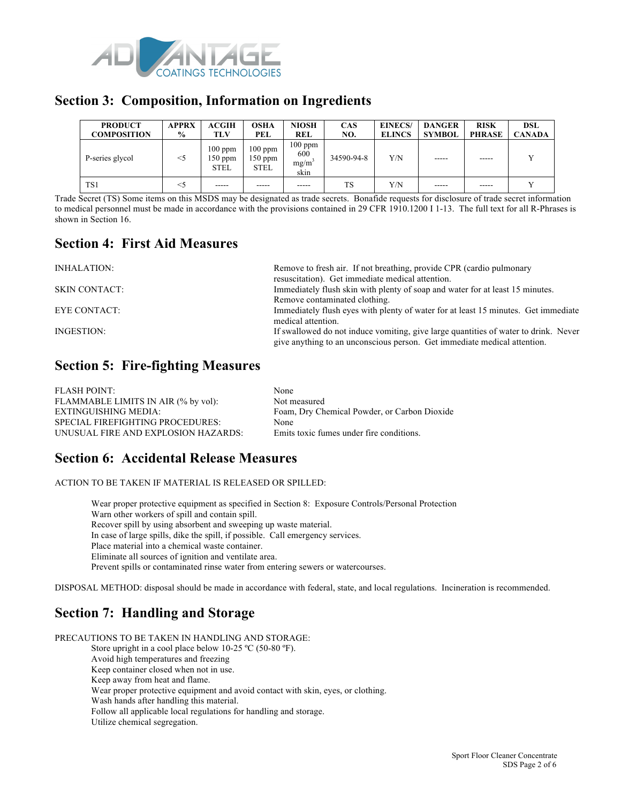

### **Section 3: Composition, Information on Ingredients**

| <b>PRODUCT</b><br><b>COMPOSITION</b> | APPRX<br>$\frac{6}{9}$ | <b>ACGIH</b><br>TLV                 | OSHA<br>PEL                           | <b>NIOSH</b><br>REL              | <b>CAS</b><br>NO. | <b>EINECS/</b><br><b>ELINCS</b> | <b>DANGER</b><br><b>SYMBOL</b> | <b>RISK</b><br><b>PHRASE</b> | DSL<br><b>CANADA</b> |
|--------------------------------------|------------------------|-------------------------------------|---------------------------------------|----------------------------------|-------------------|---------------------------------|--------------------------------|------------------------------|----------------------|
| P-series glycol                      | $<$ 5                  | $100$ ppm<br>150 ppm<br><b>STEL</b> | $100$ ppm<br>$150$ ppm<br><b>STEL</b> | $100$ ppm<br>600<br>mg/m<br>skin | 34590-94-8        | Y/N                             | -----                          | -----                        |                      |
| TS1                                  | <5                     | -----                               | $- - - - -$                           | -----                            | TS                | Y/N                             | $- - - - -$                    | $- - - - -$                  |                      |

Trade Secret (TS) Some items on this MSDS may be designated as trade secrets. Bonafide requests for disclosure of trade secret information to medical personnel must be made in accordance with the provisions contained in 29 CFR 1910.1200 I 1-13. The full text for all R-Phrases is shown in Section 16.

### **Section 4: First Aid Measures**

| Remove to fresh air. If not breathing, provide CPR (cardio pulmonary<br>resuscitation). Get immediate medical attention.                                        |
|-----------------------------------------------------------------------------------------------------------------------------------------------------------------|
| Immediately flush skin with plenty of soap and water for at least 15 minutes.                                                                                   |
| Remove contaminated clothing.                                                                                                                                   |
| Immediately flush eyes with plenty of water for at least 15 minutes. Get immediate                                                                              |
| medical attention.                                                                                                                                              |
| If swallowed do not induce vomiting, give large quantities of water to drink. Never<br>give anything to an unconscious person. Get immediate medical attention. |
|                                                                                                                                                                 |

### **Section 5: Fire-fighting Measures**

| <b>FLASH POINT:</b>                     | None                                         |
|-----------------------------------------|----------------------------------------------|
| FLAMMABLE LIMITS IN AIR (% by vol):     | Not measured                                 |
| EXTINGUISHING MEDIA:                    | Foam, Dry Chemical Powder, or Carbon Dioxide |
| <b>SPECIAL FIREFIGHTING PROCEDURES:</b> | None                                         |
| UNUSUAL FIRE AND EXPLOSION HAZARDS:     | Emits toxic fumes under fire conditions.     |

### **Section 6: Accidental Release Measures**

ACTION TO BE TAKEN IF MATERIAL IS RELEASED OR SPILLED:

Wear proper protective equipment as specified in Section 8: Exposure Controls/Personal Protection Warn other workers of spill and contain spill. Recover spill by using absorbent and sweeping up waste material. In case of large spills, dike the spill, if possible. Call emergency services. Place material into a chemical waste container. Eliminate all sources of ignition and ventilate area. Prevent spills or contaminated rinse water from entering sewers or watercourses.

DISPOSAL METHOD: disposal should be made in accordance with federal, state, and local regulations. Incineration is recommended.

## **Section 7: Handling and Storage**

PRECAUTIONS TO BE TAKEN IN HANDLING AND STORAGE: Store upright in a cool place below 10-25 °C (50-80 °F). Avoid high temperatures and freezing Keep container closed when not in use. Keep away from heat and flame. Wear proper protective equipment and avoid contact with skin, eyes, or clothing. Wash hands after handling this material. Follow all applicable local regulations for handling and storage. Utilize chemical segregation.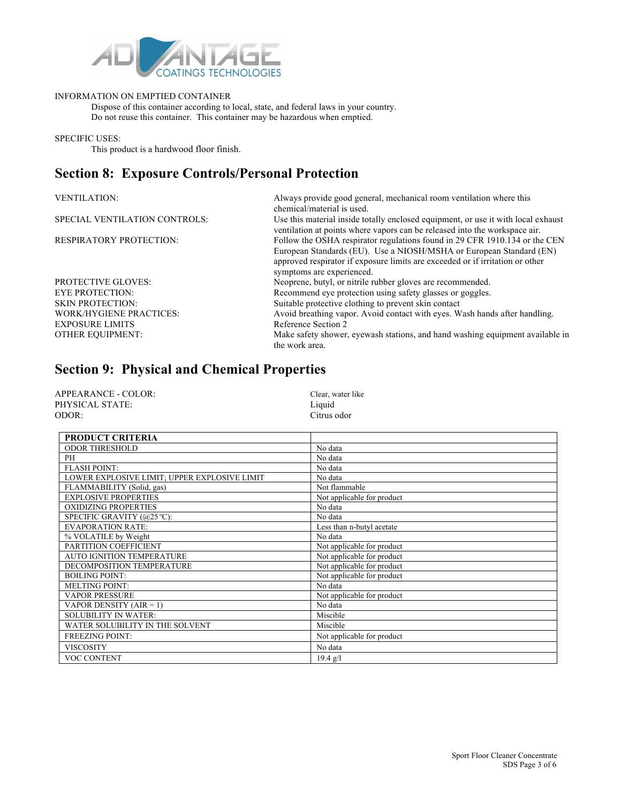

#### INFORMATION ON EMPTIED CONTAINER

Dispose of this container according to local, state, and federal laws in your country. Do not reuse this container. This container may be hazardous when emptied.

SPECIFIC USES:

This product is a hardwood floor finish.

### **Section 8: Exposure Controls/Personal Protection**

| <b>VENTILATION:</b>            | Always provide good general, mechanical room ventilation where this<br>chemical/material is used.                                                                                 |
|--------------------------------|-----------------------------------------------------------------------------------------------------------------------------------------------------------------------------------|
| SPECIAL VENTILATION CONTROLS:  | Use this material inside totally enclosed equipment, or use it with local exhaust<br>ventilation at points where vapors can be released into the workspace air.                   |
| <b>RESPIRATORY PROTECTION:</b> | Follow the OSHA respirator regulations found in 29 CFR 1910.134 or the CEN                                                                                                        |
|                                | European Standards (EU). Use a NIOSH/MSHA or European Standard (EN)<br>approved respirator if exposure limits are exceeded or if irritation or other<br>symptoms are experienced. |
| <b>PROTECTIVE GLOVES:</b>      | Neoprene, butyl, or nitrile rubber gloves are recommended.                                                                                                                        |
| <b>EYE PROTECTION:</b>         | Recommend eye protection using safety glasses or goggles.                                                                                                                         |
| <b>SKIN PROTECTION:</b>        | Suitable protective clothing to prevent skin contact                                                                                                                              |
| WORK/HYGIENE PRACTICES:        | Avoid breathing vapor. Avoid contact with eyes. Wash hands after handling.                                                                                                        |
| <b>EXPOSURE LIMITS</b>         | Reference Section 2                                                                                                                                                               |
| <b>OTHER EQUIPMENT:</b>        | Make safety shower, eyewash stations, and hand washing equipment available in<br>the work area.                                                                                   |

# **Section 9: Physical and Chemical Properties**

| APPEARANCE - COLOR: | Clear, water like |
|---------------------|-------------------|
| PHYSICAL STATE:     | Liquid            |
| ODOR:               | Citrus odor       |

| <b>PRODUCT CRITERIA</b>                      |                            |
|----------------------------------------------|----------------------------|
| <b>ODOR THRESHOLD</b>                        | No data                    |
| PH                                           | No data                    |
| <b>FLASH POINT:</b>                          | No data                    |
| LOWER EXPLOSIVE LIMIT; UPPER EXPLOSIVE LIMIT | No data                    |
| FLAMMABILITY (Solid, gas)                    | Not flammable              |
| <b>EXPLOSIVE PROPERTIES</b>                  | Not applicable for product |
| <b>OXIDIZING PROPERTIES</b>                  | No data                    |
| SPECIFIC GRAVITY (@25 °C):                   | No data                    |
| <b>EVAPORATION RATE:</b>                     | Less than n-butyl acetate  |
| % VOLATILE by Weight                         | No data                    |
| PARTITION COEFFICIENT                        | Not applicable for product |
| <b>AUTO IGNITION TEMPERATURE</b>             | Not applicable for product |
| DECOMPOSITION TEMPERATURE                    | Not applicable for product |
| <b>BOILING POINT:</b>                        | Not applicable for product |
| <b>MELTING POINT:</b>                        | No data                    |
| <b>VAPOR PRESSURE</b>                        | Not applicable for product |
| VAPOR DENSITY $(AIR = 1)$                    | No data                    |
| <b>SOLUBILITY IN WATER:</b>                  | Miscible                   |
| WATER SOLUBILITY IN THE SOLVENT              | Miscible                   |
| <b>FREEZING POINT:</b>                       | Not applicable for product |
| <b>VISCOSITY</b>                             | No data                    |
| VOC CONTENT                                  | $19.4$ g/l                 |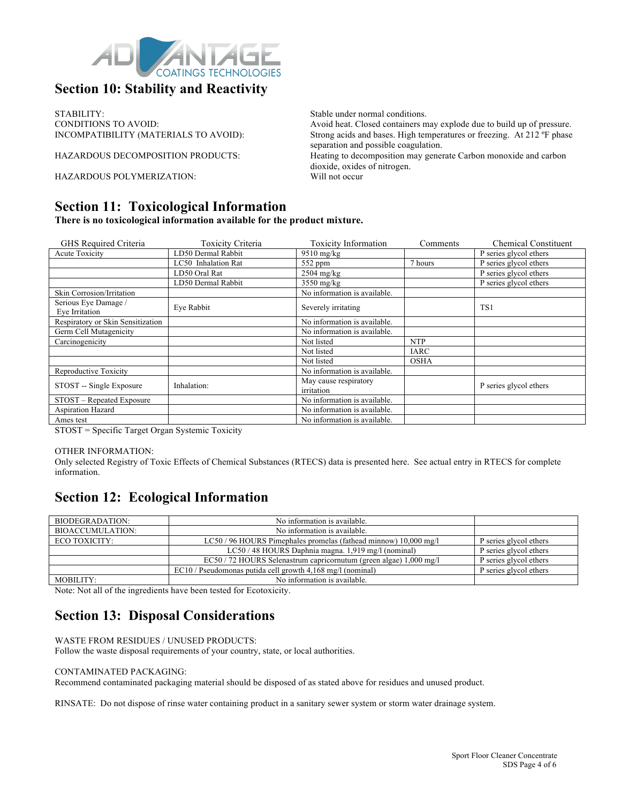

### **Section 10: Stability and Reactivity**

STABILITY: Stable under normal conditions.

HAZARDOUS POLYMERIZATION: Will not occur

### **Section 11: Toxicological Information**

**There is no toxicological information available for the product mixture.**

| GHS Required Criteria                  | <b>Toxicity Criteria</b> | <b>Toxicity Information</b>         | Comments    | <b>Chemical Constituent</b>         |
|----------------------------------------|--------------------------|-------------------------------------|-------------|-------------------------------------|
| <b>Acute Toxicity</b>                  | LD50 Dermal Rabbit       | $9510$ mg/kg                        |             | P series glycol ethers              |
|                                        | LC50 Inhalation Rat      | $552$ ppm                           | 7 hours     | P series glycol ethers              |
|                                        | LD50 Oral Rat            | $2504$ mg/kg                        |             | P series glycol ethers              |
|                                        | LD50 Dermal Rabbit       | 3550 mg/kg                          |             | $\overline{P}$ series glycol ethers |
| <b>Skin Corrosion/Irritation</b>       |                          | No information is available.        |             |                                     |
| Serious Eye Damage /<br>Eye Irritation | Eve Rabbit               | Severely irritating                 |             | TS1                                 |
| Respiratory or Skin Sensitization      |                          | No information is available.        |             |                                     |
| Germ Cell Mutagenicity                 |                          | No information is available.        |             |                                     |
| Carcinogenicity                        |                          | Not listed                          | <b>NTP</b>  |                                     |
|                                        |                          | Not listed                          | <b>IARC</b> |                                     |
|                                        |                          | Not listed                          | <b>OSHA</b> |                                     |
| Reproductive Toxicity                  |                          | No information is available.        |             |                                     |
| STOST -- Single Exposure               | Inhalation:              | May cause respiratory<br>irritation |             | P series glycol ethers              |
| STOST - Repeated Exposure              |                          | No information is available.        |             |                                     |
| <b>Aspiration Hazard</b>               |                          | No information is available.        |             |                                     |
| Ames test                              |                          | No information is available.        |             |                                     |

STOST = Specific Target Organ Systemic Toxicity

#### OTHER INFORMATION:

Only selected Registry of Toxic Effects of Chemical Substances (RTECS) data is presented here. See actual entry in RTECS for complete information.

### **Section 12: Ecological Information**

| BIODEGRADATION:         | No information is available.                                       |                        |
|-------------------------|--------------------------------------------------------------------|------------------------|
| <b>BIOACCUMULATION:</b> | No information is available.                                       |                        |
| ECO TOXICITY:           | LC50/96 HOURS Pimephales promelas (fathead minnow) 10,000 mg/l     | P series glycol ethers |
|                         | LC50 / 48 HOURS Daphnia magna. 1,919 mg/l (nominal)                | P series glycol ethers |
|                         | EC50 / 72 HOURS Selenastrum capricornutum (green algae) 1,000 mg/l | P series glycol ethers |
|                         | EC10 / Pseudomonas putida cell growth 4,168 mg/l (nominal)         | P series glycol ethers |
| MOBILITY:               | No information is available.                                       |                        |

Note: Not all of the ingredients have been tested for Ecotoxicity.

### **Section 13: Disposal Considerations**

WASTE FROM RESIDUES / UNUSED PRODUCTS:

Follow the waste disposal requirements of your country, state, or local authorities.

#### CONTAMINATED PACKAGING:

Recommend contaminated packaging material should be disposed of as stated above for residues and unused product.

RINSATE: Do not dispose of rinse water containing product in a sanitary sewer system or storm water drainage system.

CONDITIONS TO AVOID:<br>
NOOMPATIBILITY (MATERIALS TO AVOID): Strong acids and bases. High temperatures or freezing. At 212 °F phase Strong acids and bases. High temperatures or freezing. At 212 °F phase separation and possible coagulation.

HAZARDOUS DECOMPOSITION PRODUCTS: Heating to decomposition may generate Carbon monoxide and carbon dioxide, oxides of nitrogen.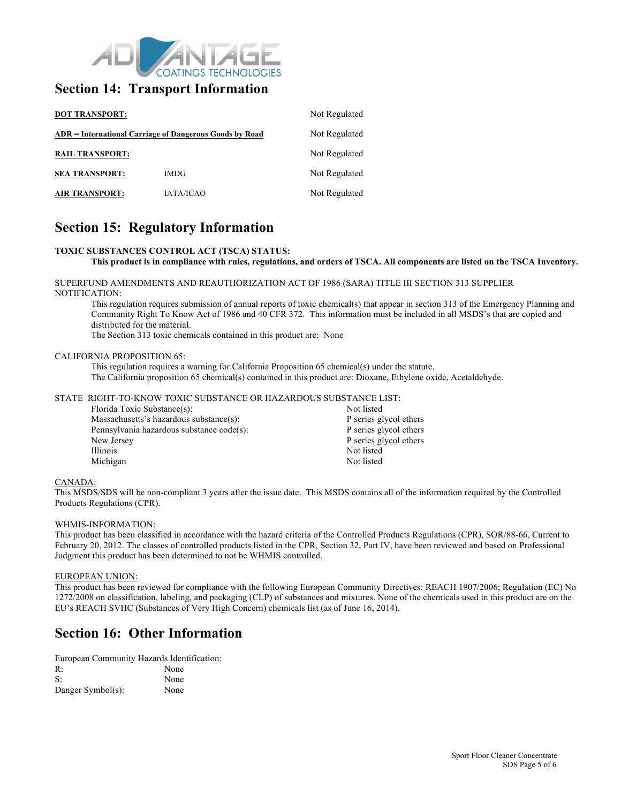

### **Section 14: Transport Information**

| <b>DOT TRANSPORT:</b>                                   | Not Regulated    |               |  |
|---------------------------------------------------------|------------------|---------------|--|
| ADR = International Carriage of Dangerous Goods by Road | Not Regulated    |               |  |
| <b>RAIL TRANSPORT:</b>                                  |                  | Not Regulated |  |
| <b>SEA TRANSPORT:</b>                                   | <b>IMDG</b>      | Not Regulated |  |
| <b>AIR TRANSPORT:</b>                                   | <b>JATA/ICAO</b> | Not Regulated |  |

### **Section 15: Regulatory Information**

#### **TOXIC SUBSTANCES CONTROL ACT (TSCA) STATUS:**

#### **This product is in compliance with rules, regulations, and orders of TSCA. All components are listed on the TSCA Inventory.**

SUPERFUND AMENDMENTS AND REAUTHORIZATION ACT OF 1986 (SARA) TITLE III SECTION 313 SUPPLIER NOTIFICATION:

This regulation requires submission of annual reports of toxic chemical(s) that appear in section 313 of the Emergency Planning and Community Right To Know Act of 1986 and 40 CFR 372. This information must be included in all MSDS's that are copied and distributed for the material.

The Section 313 toxic chemicals contained in this product are: None

#### CALIFORNIA PROPOSITION 65:

This regulation requires a warning for California Proposition 65 chemical(s) under the statute. The California proposition 65 chemical(s) contained in this product are: Dioxane, Ethylene oxide, Acetaldehyde.

#### STATE RIGHT-TO-KNOW TOXIC SUBSTANCE OR HAZARDOUS SUBSTANCE LIST:

| Florida Toxic Substance(s):               | Not listed             |
|-------------------------------------------|------------------------|
| Massachusetts's hazardous substance(s):   | P series glycol ethers |
| Pennsylvania hazardous substance code(s): | P series glycol ethers |
| New Jersey                                | P series glycol ethers |
| Illinois                                  | Not listed             |
| Michigan                                  | Not listed             |
|                                           |                        |

#### CANADA:

This MSDS/SDS will be non-compliant 3 years after the issue date. This MSDS contains all of the information required by the Controlled Products Regulations (CPR).

#### WHMIS-INFORMATION:

This product has been classified in accordance with the hazard criteria of the Controlled Products Regulations (CPR), SOR/88-66, Current to February 20, 2012. The classes of controlled products listed in the CPR, Section 32, Part IV, have been reviewed and based on Professional Judgment this product has been determined to not be WHMIS controlled.

#### EUROPEAN UNION:

This product has been reviewed for compliance with the following European Community Directives: REACH 1907/2006; Regulation (EC) No 1272/2008 on classification, labeling, and packaging (CLP) of substances and mixtures. None of the chemicals used in this product are on the EU's REACH SVHC (Substances of Very High Concern) chemicals list (as of June 16, 2014).

### **Section 16: Other Information**

European Community Hazards Identification:<br>P. R: None

| 17.               | TAQIT |
|-------------------|-------|
| S:                | None  |
| Danger Symbol(s): | None  |